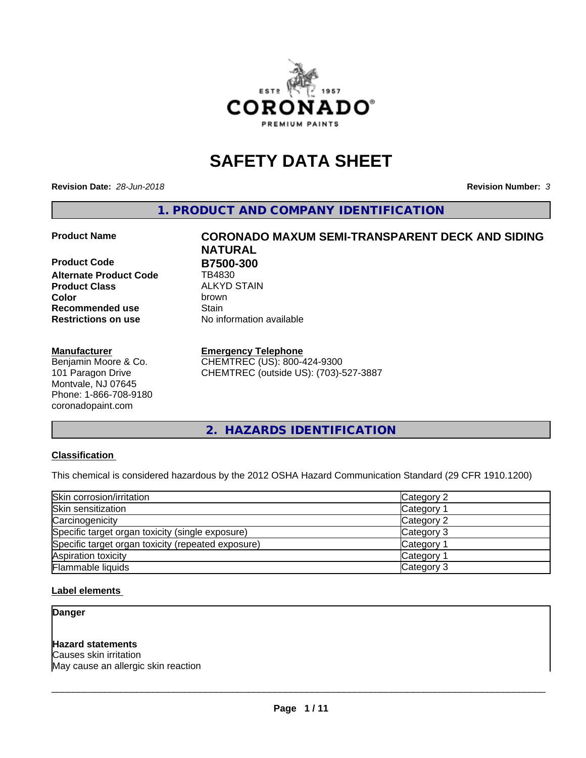

# **SAFETY DATA SHEET**

**Revision Date:** *28-Jun-2018* **Revision Number:** *3*

**1. PRODUCT AND COMPANY IDENTIFICATION**

**Product Code B7500-300 Alternate Product Code** TB4830 **Product Class** ALKYD STAIN<br> **Color** brown **Recommended use Stain Restrictions on use** No information available

# **Manufacturer**

Benjamin Moore & Co. 101 Paragon Drive Montvale, NJ 07645 Phone: 1-866-708-9180 coronadopaint.com

# **Product Name CORONADO MAXUM SEMI-TRANSPARENT DECK AND SIDING NATURAL Color** brown

# **Emergency Telephone**

CHEMTREC (US): 800-424-9300 CHEMTREC (outside US): (703)-527-3887

**2. HAZARDS IDENTIFICATION**

# **Classification**

This chemical is considered hazardous by the 2012 OSHA Hazard Communication Standard (29 CFR 1910.1200)

| Skin corrosion/irritation                          | Category 2        |
|----------------------------------------------------|-------------------|
| Skin sensitization                                 | Category 1        |
| Carcinogenicity                                    | Category 2        |
| Specific target organ toxicity (single exposure)   | Category 3        |
| Specific target organ toxicity (repeated exposure) | Category 1        |
| Aspiration toxicity                                | <b>Category 1</b> |
| Flammable liquids                                  | Category 3        |

# **Label elements**

**Danger**

# **Hazard statements**

Causes skin irritation May cause an allergic skin reaction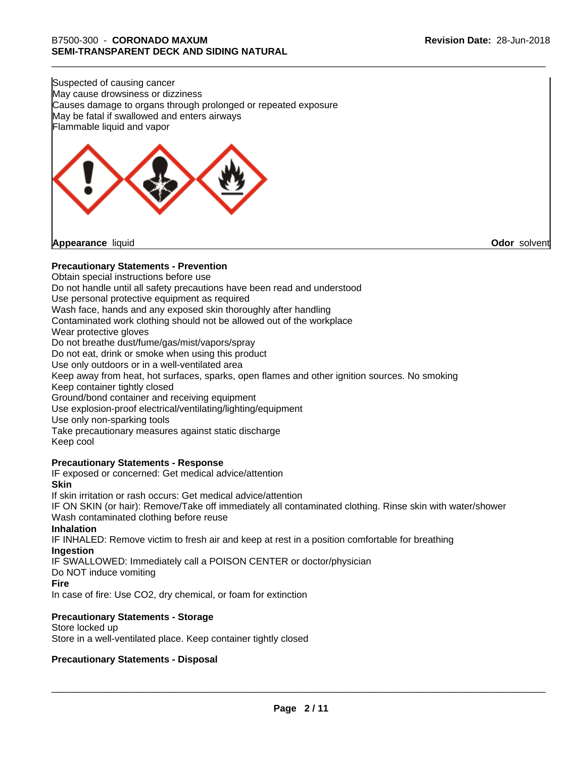Suspected of causing cancer May cause drowsiness or dizziness Causes damage to organs through prolonged or repeated exposure May be fatal if swallowed and enters airways Flammable liquid and vapor



**Appearance** liquid **Odor** solvent

# **Precautionary Statements - Prevention**

Obtain special instructions before use Do not handle until all safety precautions have been read and understood Use personal protective equipment as required Wash face, hands and any exposed skin thoroughly after handling Contaminated work clothing should not be allowed out of the workplace Wear protective gloves Do not breathe dust/fume/gas/mist/vapors/spray Do not eat, drink or smoke when using this product Use only outdoors or in a well-ventilated area Keep away from heat, hot surfaces, sparks, open flames and other ignition sources. No smoking Keep container tightly closed Ground/bond container and receiving equipment Use explosion-proof electrical/ventilating/lighting/equipment Use only non-sparking tools Take precautionary measures against static discharge Keep cool **Precautionary Statements - Response** IF exposed or concerned: Get medical advice/attention **Skin** If skin irritation or rash occurs: Get medical advice/attention

IF ON SKIN (or hair): Remove/Take off immediately all contaminated clothing. Rinse skin with water/shower Wash contaminated clothing before reuse

# **Inhalation**

IF INHALED: Remove victim to fresh air and keep at rest in a position comfortable for breathing **Ingestion**

IF SWALLOWED: Immediately call a POISON CENTER or doctor/physician

Do NOT induce vomiting

# **Fire**

In case of fire: Use CO2, dry chemical, or foam for extinction

# **Precautionary Statements - Storage**

Store locked up Store in a well-ventilated place. Keep container tightly closed

# **Precautionary Statements - Disposal**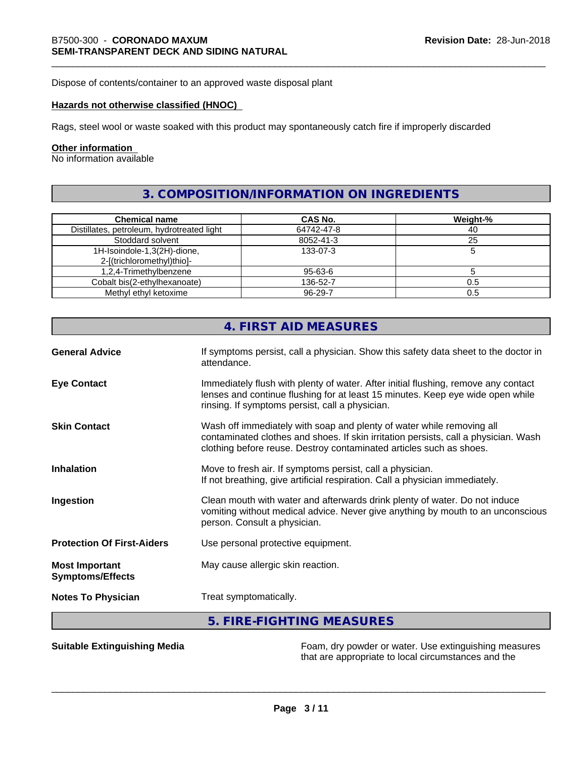Dispose of contents/container to an approved waste disposal plant

# **Hazards not otherwise classified (HNOC)**

Rags, steel wool or waste soaked with this product may spontaneously catch fire if improperly discarded

# **Other information**

No information available

# **3. COMPOSITION/INFORMATION ON INGREDIENTS**

| <b>Chemical name</b>                       | CAS No.       | Weight-% |
|--------------------------------------------|---------------|----------|
| Distillates, petroleum, hydrotreated light | 64742-47-8    | 40       |
| Stoddard solvent                           | 8052-41-3     | 25       |
| 1H-Isoindole-1,3(2H)-dione,                | 133-07-3      |          |
| 2-[(trichloromethyl)thio]-                 |               |          |
| 1,2,4-Trimethylbenzene                     | 95-63-6       |          |
| Cobalt bis(2-ethylhexanoate)               | 136-52-7      | 0.5      |
| Methyl ethyl ketoxime                      | $96 - 29 - 7$ | 0.5      |

|                                                  | 4. FIRST AID MEASURES                                                                                                                                                                                                               |
|--------------------------------------------------|-------------------------------------------------------------------------------------------------------------------------------------------------------------------------------------------------------------------------------------|
| <b>General Advice</b>                            | If symptoms persist, call a physician. Show this safety data sheet to the doctor in<br>attendance.                                                                                                                                  |
| <b>Eye Contact</b>                               | Immediately flush with plenty of water. After initial flushing, remove any contact<br>lenses and continue flushing for at least 15 minutes. Keep eye wide open while<br>rinsing. If symptoms persist, call a physician.             |
| <b>Skin Contact</b>                              | Wash off immediately with soap and plenty of water while removing all<br>contaminated clothes and shoes. If skin irritation persists, call a physician. Wash<br>clothing before reuse. Destroy contaminated articles such as shoes. |
| <b>Inhalation</b>                                | Move to fresh air. If symptoms persist, call a physician.<br>If not breathing, give artificial respiration. Call a physician immediately.                                                                                           |
| Ingestion                                        | Clean mouth with water and afterwards drink plenty of water. Do not induce<br>vomiting without medical advice. Never give anything by mouth to an unconscious<br>person. Consult a physician.                                       |
| <b>Protection Of First-Aiders</b>                | Use personal protective equipment.                                                                                                                                                                                                  |
| <b>Most Important</b><br><b>Symptoms/Effects</b> | May cause allergic skin reaction.                                                                                                                                                                                                   |
| <b>Notes To Physician</b>                        | Treat symptomatically.                                                                                                                                                                                                              |
|                                                  | 5. FIRE-FIGHTING MEASURES                                                                                                                                                                                                           |

**Suitable Extinguishing Media** Foam, dry powder or water. Use extinguishing measures that are appropriate to local circumstances and the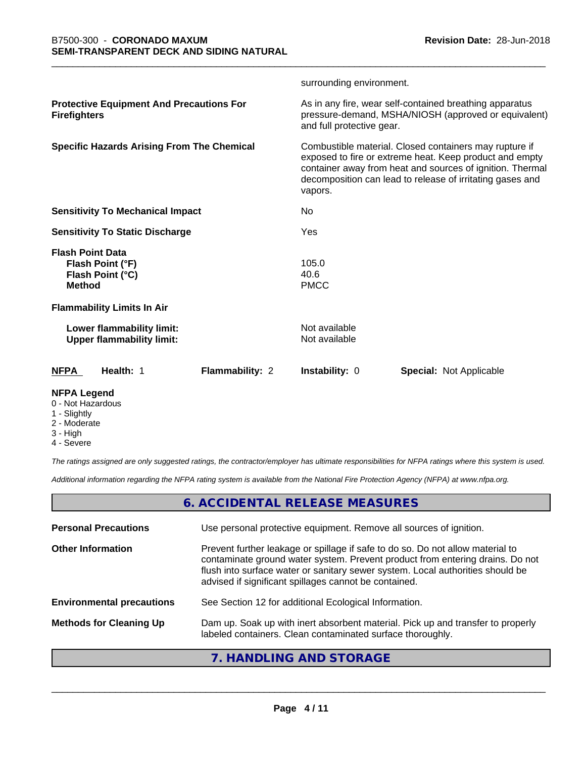|                                                                                  |                 | surrounding environment.       |                                                                                                                                                                                                                                             |
|----------------------------------------------------------------------------------|-----------------|--------------------------------|---------------------------------------------------------------------------------------------------------------------------------------------------------------------------------------------------------------------------------------------|
| <b>Protective Equipment And Precautions For</b><br><b>Firefighters</b>           |                 | and full protective gear.      | As in any fire, wear self-contained breathing apparatus<br>pressure-demand, MSHA/NIOSH (approved or equivalent)                                                                                                                             |
| <b>Specific Hazards Arising From The Chemical</b>                                |                 | vapors.                        | Combustible material. Closed containers may rupture if<br>exposed to fire or extreme heat. Keep product and empty<br>container away from heat and sources of ignition. Thermal<br>decomposition can lead to release of irritating gases and |
| <b>Sensitivity To Mechanical Impact</b>                                          |                 | No                             |                                                                                                                                                                                                                                             |
| <b>Sensitivity To Static Discharge</b>                                           |                 | Yes                            |                                                                                                                                                                                                                                             |
| <b>Flash Point Data</b><br>Flash Point (°F)<br>Flash Point (°C)<br><b>Method</b> |                 | 105.0<br>40.6<br><b>PMCC</b>   |                                                                                                                                                                                                                                             |
| <b>Flammability Limits In Air</b>                                                |                 |                                |                                                                                                                                                                                                                                             |
| Lower flammability limit:<br><b>Upper flammability limit:</b>                    |                 | Not available<br>Not available |                                                                                                                                                                                                                                             |
| <b>NFPA</b><br>Health: 1                                                         | Flammability: 2 | Instability: 0                 | Special: Not Applicable                                                                                                                                                                                                                     |
| <b>NFPA Legend</b>                                                               |                 |                                |                                                                                                                                                                                                                                             |

- 0 Not Hazardous
- 1 Slightly
- 2 Moderate
- 3 High
- 4 Severe

*The ratings assigned are only suggested ratings, the contractor/employer has ultimate responsibilities for NFPA ratings where this system is used.*

*Additional information regarding the NFPA rating system is available from the National Fire Protection Agency (NFPA) at www.nfpa.org.*

# **6. ACCIDENTAL RELEASE MEASURES**

| <b>Personal Precautions</b>      | Use personal protective equipment. Remove all sources of ignition.                                                                                                                                                                                                                                         |
|----------------------------------|------------------------------------------------------------------------------------------------------------------------------------------------------------------------------------------------------------------------------------------------------------------------------------------------------------|
| <b>Other Information</b>         | Prevent further leakage or spillage if safe to do so. Do not allow material to<br>contaminate ground water system. Prevent product from entering drains. Do not<br>flush into surface water or sanitary sewer system. Local authorities should be<br>advised if significant spillages cannot be contained. |
| <b>Environmental precautions</b> | See Section 12 for additional Ecological Information.                                                                                                                                                                                                                                                      |
| <b>Methods for Cleaning Up</b>   | Dam up. Soak up with inert absorbent material. Pick up and transfer to properly<br>labeled containers. Clean contaminated surface thoroughly.                                                                                                                                                              |
|                                  |                                                                                                                                                                                                                                                                                                            |

# **7. HANDLING AND STORAGE**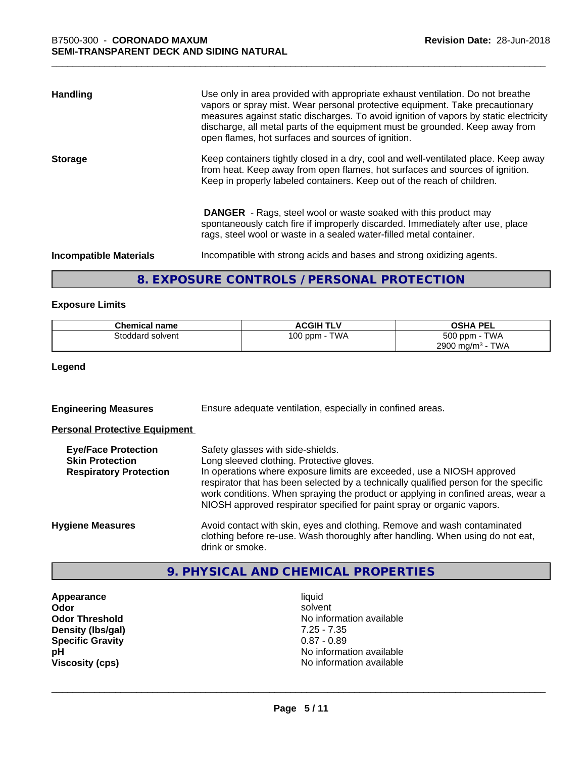| <b>Handling</b>               | Use only in area provided with appropriate exhaust ventilation. Do not breathe<br>vapors or spray mist. Wear personal protective equipment. Take precautionary<br>measures against static discharges. To avoid ignition of vapors by static electricity<br>discharge, all metal parts of the equipment must be grounded. Keep away from<br>open flames, hot surfaces and sources of ignition. |
|-------------------------------|-----------------------------------------------------------------------------------------------------------------------------------------------------------------------------------------------------------------------------------------------------------------------------------------------------------------------------------------------------------------------------------------------|
| <b>Storage</b>                | Keep containers tightly closed in a dry, cool and well-ventilated place. Keep away<br>from heat. Keep away from open flames, hot surfaces and sources of ignition.<br>Keep in properly labeled containers. Keep out of the reach of children.                                                                                                                                                 |
|                               | <b>DANGER</b> - Rags, steel wool or waste soaked with this product may<br>spontaneously catch fire if improperly discarded. Immediately after use, place<br>rags, steel wool or waste in a sealed water-filled metal container.                                                                                                                                                               |
| <b>Incompatible Materials</b> | Incompatible with strong acids and bases and strong oxidizing agents.                                                                                                                                                                                                                                                                                                                         |

# **8. EXPOSURE CONTROLS / PERSONAL PROTECTION**

# **Exposure Limits**

| Chemical name    | <b>ACGIH TLV</b> | <b>OSHA PEL</b>                 |
|------------------|------------------|---------------------------------|
| Stoddard solvent | TWA<br>100 ppm   | 500 ppm - TWA                   |
|                  |                  | 2900 mg/m <sup>3</sup> -<br>TWA |

**Legend**

| <b>Engineering Measures</b> | Ensure adequate ventilation, especially in confined areas. |  |
|-----------------------------|------------------------------------------------------------|--|
|-----------------------------|------------------------------------------------------------|--|

# **Personal Protective Equipment**

| <b>Eye/Face Protection</b><br><b>Skin Protection</b><br><b>Respiratory Protection</b> | Safety glasses with side-shields.<br>Long sleeved clothing. Protective gloves.<br>In operations where exposure limits are exceeded, use a NIOSH approved<br>respirator that has been selected by a technically qualified person for the specific<br>work conditions. When spraying the product or applying in confined areas, wear a<br>NIOSH approved respirator specified for paint spray or organic vapors. |
|---------------------------------------------------------------------------------------|----------------------------------------------------------------------------------------------------------------------------------------------------------------------------------------------------------------------------------------------------------------------------------------------------------------------------------------------------------------------------------------------------------------|
| <b>Hygiene Measures</b>                                                               | Avoid contact with skin, eyes and clothing. Remove and wash contaminated<br>clothing before re-use. Wash thoroughly after handling. When using do not eat,<br>drink or smoke.                                                                                                                                                                                                                                  |

# **9. PHYSICAL AND CHEMICAL PROPERTIES**

**Appearance** liquid **Density (lbs/gal)** 7.25 - 7.35<br>**Specific Gravity** 0.87 - 0.89 **Specific Gravity**<br>pH

**Odor** solvent **Odor Threshold** No information available **pH**<br>
Viscosity (cps) The Contract of the United States of the Viscosity (cps) **Viscosity (cps)** No information available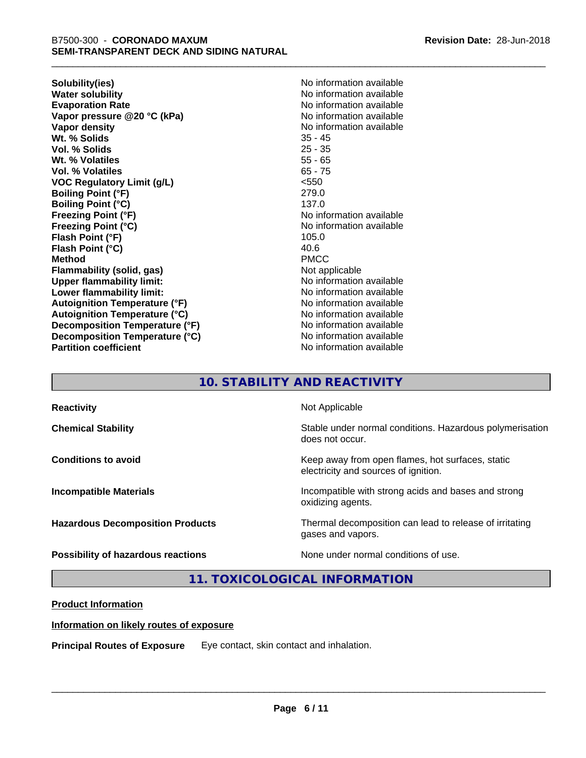**Solubility(ies)** No information available **Water solubility**<br> **Evaporation Rate**<br> **Evaporation Rate**<br> **Evaporation Rate Vapor pressure @20 °C (kPa)** No information available **Vapor density**<br> **We Solids**<br>
We Solids
25 - 45 Wt. % Solids **Vol. % Solids** 25 - 35 **Wt. % Volatiles** 55 - 65 **Vol. % Volatiles** 65 - 75 **VOC Regulatory Limit (g/L)** <550 **Boiling Point (°F)** 279.0 **Boiling Point (°C)** 137.0 **Freezing Point (°F)**<br> **Freezing Point (°C)**<br> **Freezing Point (°C)**<br> **No information available Flash Point (°F)** 105.0 **Flash Point (°C)** 40.6 **Method** PMCC **Flammability (solid, gas)** Not applicable **Upper flammability limit:** No information available **Lower flammability limit:** No information available **Lower** flammability limit: **Autoignition Temperature (°F)**<br> **Autoignition Temperature (°C)** No information available<br>
No information available **Autoignition Temperature (°C) Decomposition Temperature (°F)** No information available **Decomposition Temperature (°C)** No information available **Partition coefficient CONSTRANSISTS No information available** 

**Revision Date:** 28-Jun-2018

**Evaporation Rate** No information available **Freezing Point (°C)** No information available

# **10. STABILITY AND REACTIVITY**

| <b>Reactivity</b>                       | Not Applicable                                                                           |
|-----------------------------------------|------------------------------------------------------------------------------------------|
| <b>Chemical Stability</b>               | Stable under normal conditions. Hazardous polymerisation<br>does not occur.              |
| <b>Conditions to avoid</b>              | Keep away from open flames, hot surfaces, static<br>electricity and sources of ignition. |
| <b>Incompatible Materials</b>           | Incompatible with strong acids and bases and strong<br>oxidizing agents.                 |
| <b>Hazardous Decomposition Products</b> | Thermal decomposition can lead to release of irritating<br>gases and vapors.             |
| Possibility of hazardous reactions      | None under normal conditions of use.                                                     |

**11. TOXICOLOGICAL INFORMATION**

# **Product Information**

# **Information on likely routes of exposure**

**Principal Routes of Exposure** Eye contact, skin contact and inhalation.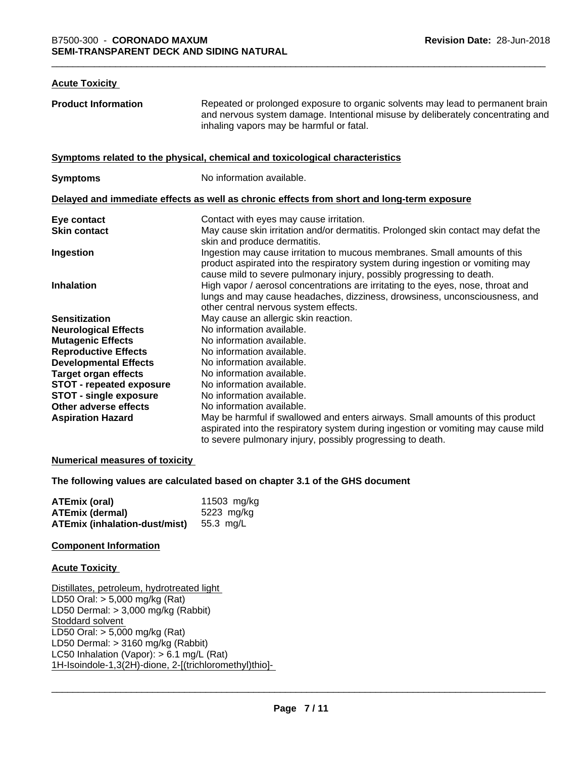# **Acute Toxicity**

**Product Information** Repeated or prolonged exposure to organic solvents may lead to permanent brain and nervous system damage. Intentional misuse by deliberately concentrating and inhaling vapors may be harmful or fatal. **Symptoms related to the physical, chemical and toxicological characteristics Symptoms** No information available. **Delayed and immediate effects as well as chronic effects from short and long-term exposure Eye contact** Contact With eyes may cause irritation. **Skin contact** May cause skin irritation and/or dermatitis. Prolonged skin contact may defat the skin and produce dermatitis. **Ingestion Ingestion may cause irritation to mucous membranes. Small amounts of this** product aspirated into the respiratory system during ingestion or vomiting may cause mild to severe pulmonary injury, possibly progressing to death. **Inhalation High vapor / aerosol concentrations are irritating to the eyes, nose, throat and** lungs and may cause headaches, dizziness, drowsiness, unconsciousness, and other central nervous system effects. **Sensitization** May cause an allergic skin reaction. **Neurological Effects** No information available. **Mutagenic Effects** No information available. **Reproductive Effects** No information available.<br> **Developmental Effects** No information available. **Developmental Effects Target organ effects** No information available. **STOT - repeated exposure** No information available.<br>**STOT - single exposure** No information available. **STOT** - single exposure **Other adverse effects** No information available. **Aspiration Hazard** May be harmful if swallowed and enters airways. Small amounts of this product aspirated into the respiratory system during ingestion or vomiting may cause mild to severe pulmonary injury, possibly progressing to death.

# **Numerical measures of toxicity**

**The following values are calculated based on chapter 3.1 of the GHS document**

| ATEmix (oral)                        | 11503 mg/kg |
|--------------------------------------|-------------|
| <b>ATEmix (dermal)</b>               | 5223 mg/kg  |
| <b>ATEmix (inhalation-dust/mist)</b> | 55.3 mg/L   |

## **Component Information**

## **Acute Toxicity**

Distillates, petroleum, hydrotreated light LD50 Oral: > 5,000 mg/kg (Rat) LD50 Dermal: > 3,000 mg/kg (Rabbit) Stoddard solvent LD50 Oral: > 5,000 mg/kg (Rat) LD50 Dermal: > 3160 mg/kg (Rabbit) LC50 Inhalation (Vapor): > 6.1 mg/L (Rat) 1H-Isoindole-1,3(2H)-dione, 2-[(trichloromethyl)thio]-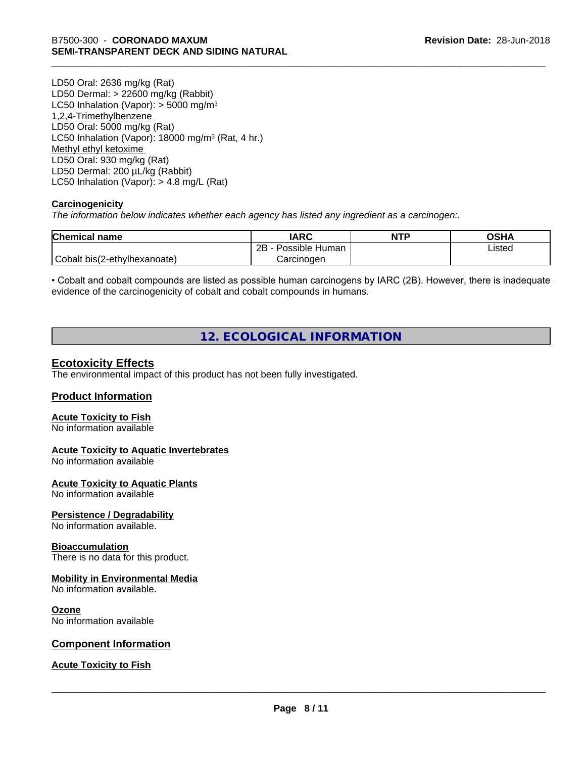LD50 Oral: 2636 mg/kg (Rat) LD50 Dermal: > 22600 mg/kg (Rabbit) LC50 Inhalation (Vapor):  $>$  5000 mg/m<sup>3</sup> 1,2,4-Trimethylbenzene LD50 Oral: 5000 mg/kg (Rat) LC50 Inhalation (Vapor): 18000 mg/m<sup>3</sup> (Rat, 4 hr.) Methyl ethyl ketoxime LD50 Oral: 930 mg/kg (Rat) LD50 Dermal: 200 µL/kg (Rabbit) LC50 Inhalation (Vapor): > 4.8 mg/L (Rat)

# **Carcinogenicity**

*The information below indicateswhether each agency has listed any ingredient as a carcinogen:.*

| <b>Chemical name</b>         | <b>IARC</b>          | <b>NTP</b> | ດເ⊔∧<br>UJNA |
|------------------------------|----------------------|------------|--------------|
|                              | Possible Human<br>2B |            | Listed       |
| Cobalt bis(2-ethylhexanoate) | Carcinogen           |            |              |

• Cobalt and cobalt compounds are listed as possible human carcinogens by IARC (2B). However, there is inadequate evidence of the carcinogenicity of cobalt and cobalt compounds in humans.

# **12. ECOLOGICAL INFORMATION**

# **Ecotoxicity Effects**

The environmental impact of this product has not been fully investigated.

# **Product Information**

# **Acute Toxicity to Fish**

No information available

# **Acute Toxicity to Aquatic Invertebrates**

No information available

# **Acute Toxicity to Aquatic Plants**

No information available

# **Persistence / Degradability**

No information available.

## **Bioaccumulation**

There is no data for this product.

## **Mobility in Environmental Media**

No information available.

## **Ozone**

No information available

# **Component Information**

**Acute Toxicity to Fish**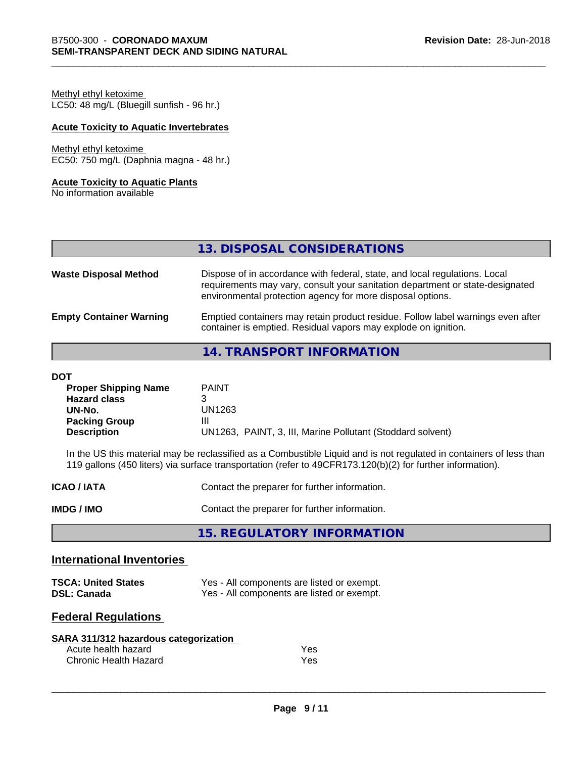Methyl ethyl ketoxime LC50: 48 mg/L (Bluegill sunfish - 96 hr.)

# **Acute Toxicity to Aquatic Invertebrates**

# Methyl ethyl ketoxime

EC50: 750 mg/L (Daphnia magna - 48 hr.)

# **Acute Toxicity to Aquatic Plants**

No information available

|  | 13. DISPOSAL CONSIDERATIONS |  |
|--|-----------------------------|--|
|  |                             |  |

| <b>Waste Disposal Method</b>   | Dispose of in accordance with federal, state, and local regulations. Local<br>requirements may vary, consult your sanitation department or state-designated<br>environmental protection agency for more disposal options. |
|--------------------------------|---------------------------------------------------------------------------------------------------------------------------------------------------------------------------------------------------------------------------|
| <b>Empty Container Warning</b> | Emptied containers may retain product residue. Follow label warnings even after<br>container is emptied. Residual vapors may explode on ignition.                                                                         |

# **14. TRANSPORT INFORMATION**

#### **DOT**

| <b>Proper Shipping Name</b> | <b>PAINT</b>                                               |
|-----------------------------|------------------------------------------------------------|
| <b>Hazard class</b>         |                                                            |
| UN-No.                      | UN1263                                                     |
| <b>Packing Group</b>        | Ш                                                          |
| <b>Description</b>          | UN1263, PAINT, 3, III, Marine Pollutant (Stoddard solvent) |

In the US this material may be reclassified as a Combustible Liquid and is not regulated in containers of less than 119 gallons (450 liters) via surface transportation (refer to 49CFR173.120(b)(2) for further information).

| <b>ICAO/IATA</b> | Contact the preparer for further information. |
|------------------|-----------------------------------------------|
| IMDG / IMO       | Contact the preparer for further information. |

**15. REGULATORY INFORMATION**

# **International Inventories**

| <b>TSCA: United States</b> | Yes - All components are listed or exempt. |
|----------------------------|--------------------------------------------|
| <b>DSL: Canada</b>         | Yes - All components are listed or exempt. |

# **Federal Regulations**

| SARA 311/312 hazardous categorization |     |
|---------------------------------------|-----|
| Acute health hazard                   | Yes |
| Chronic Health Hazard                 | Yes |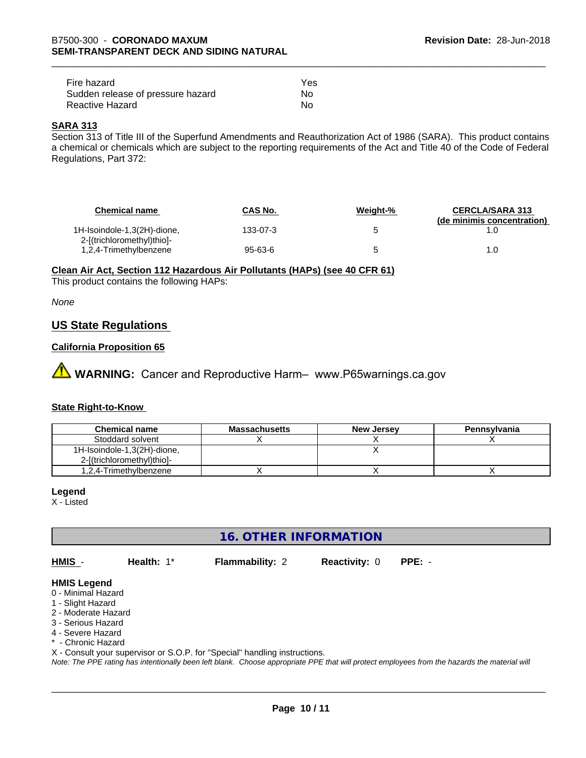| Fire hazard                       | Yes |
|-----------------------------------|-----|
| Sudden release of pressure hazard | Nο  |
| Reactive Hazard                   | Nο  |

# **SARA 313**

Section 313 of Title III of the Superfund Amendments and Reauthorization Act of 1986 (SARA). This product contains a chemical or chemicals which are subject to the reporting requirements of the Act and Title 40 of the Code of Federal Regulations, Part 372:

| <b>Chemical name</b>                                      | CAS No.  | Weight-% | <b>CERCLA/SARA 313</b><br>(de minimis concentration) |
|-----------------------------------------------------------|----------|----------|------------------------------------------------------|
| 1H-Isoindole-1,3(2H)-dione,<br>2-[(trichloromethyl)thio]- | 133-07-3 |          |                                                      |
| 1,2,4-Trimethylbenzene                                    | 95-63-6  |          | 1.0                                                  |

**Clean Air Act,Section 112 Hazardous Air Pollutants (HAPs) (see 40 CFR 61)**

This product contains the following HAPs:

*None*

# **US State Regulations**

# **California Proposition 65**

**AN** WARNING: Cancer and Reproductive Harm– www.P65warnings.ca.gov

# **State Right-to-Know**

| <b>Chemical name</b>        | <b>Massachusetts</b> | <b>New Jersey</b> | Pennsylvania |
|-----------------------------|----------------------|-------------------|--------------|
| Stoddard solvent            |                      |                   |              |
| 1H-Isoindole-1,3(2H)-dione, |                      |                   |              |
| 2-f(trichloromethyl)thiol-  |                      |                   |              |
| 1.2.4-Trimethylbenzene      |                      |                   |              |

## **Legend**

X - Listed

**16. OTHER INFORMATION**

**HMIS** - **Health:** 1\* **Flammability:** 2 **Reactivity:** 0 **PPE:** -

 $\overline{\phantom{a}}$  ,  $\overline{\phantom{a}}$  ,  $\overline{\phantom{a}}$  ,  $\overline{\phantom{a}}$  ,  $\overline{\phantom{a}}$  ,  $\overline{\phantom{a}}$  ,  $\overline{\phantom{a}}$  ,  $\overline{\phantom{a}}$  ,  $\overline{\phantom{a}}$  ,  $\overline{\phantom{a}}$  ,  $\overline{\phantom{a}}$  ,  $\overline{\phantom{a}}$  ,  $\overline{\phantom{a}}$  ,  $\overline{\phantom{a}}$  ,  $\overline{\phantom{a}}$  ,  $\overline{\phantom{a}}$ 

# **HMIS Legend**

- 0 Minimal Hazard
- 1 Slight Hazard
- 2 Moderate Hazard
- 3 Serious Hazard
- 4 Severe Hazard
- Chronic Hazard
- X Consult your supervisor or S.O.P. for "Special" handling instructions.

*Note: The PPE rating has intentionally been left blank. Choose appropriate PPE that will protect employees from the hazards the material will*